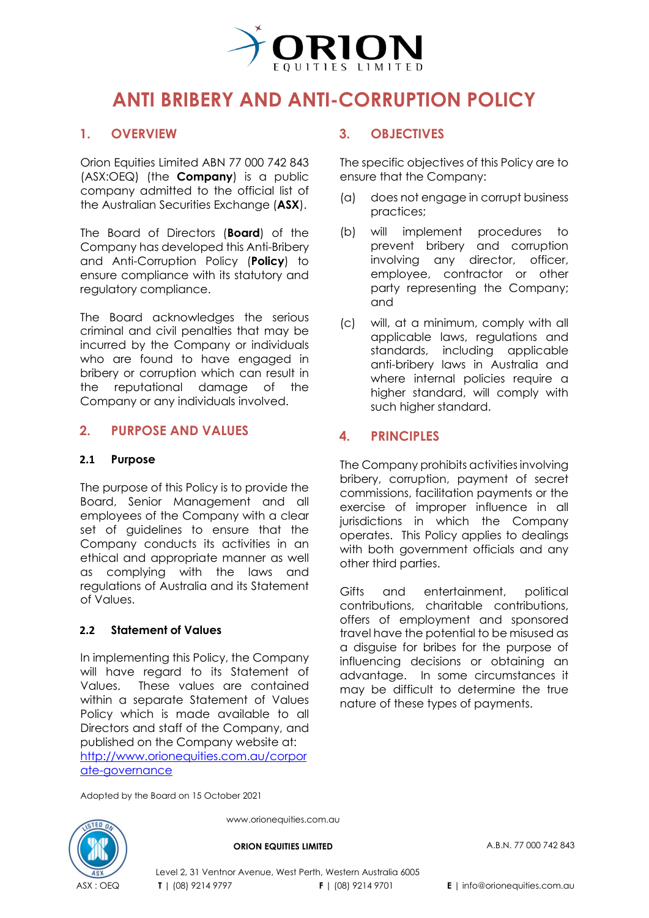

# **ANTI BRIBERY AND ANTI-CORRUPTION POLICY**

## **1. OVERVIEW**

Orion Equities Limited ABN 77 000 742 843 (ASX[:OEQ\)](https://www2.asx.com.au/markets/company/oeq) (the **Company**) is a public company admitted to the official list of the Australian Securities Exchange (**ASX**).

The Board of Directors (**Board**) of the Company has developed this Anti-Bribery and Anti-Corruption Policy (**Policy**) to ensure compliance with its statutory and regulatory compliance.

The Board acknowledges the serious criminal and civil penalties that may be incurred by the Company or individuals who are found to have engaged in bribery or corruption which can result in the reputational damage of the Company or any individuals involved.

#### **2. PURPOSE AND VALUES**

#### **2.1 Purpose**

The purpose of this Policy is to provide the Board, Senior Management and all employees of the Company with a clear set of guidelines to ensure that the Company conducts its activities in an ethical and appropriate manner as well as complying with the laws and regulations of Australia and its Statement of Values.

#### **2.2 Statement of Values**

In implementing this Policy, the Company will have regard to its Statement of Values. These values are contained within a separate Statement of Values Policy which is made available to all Directors and staff of the Company, and published on the Company website at: [http://www.orionequities.com.au/corpor](http://www.orionequities.com.au/corporate-governance) [ate-governance](http://www.orionequities.com.au/corporate-governance)

#### **3. OBJECTIVES**

The specific objectives of this Policy are to ensure that the Company:

- (a) does not engage in corrupt business practices;
- (b) will implement procedures to prevent bribery and corruption involving any director, officer, employee, contractor or other party representing the Company; and
- (c) will, at a minimum, comply with all applicable laws, regulations and standards, including applicable anti-bribery laws in Australia and where internal policies require a higher standard, will comply with such higher standard.

#### **4. PRINCIPLES**

The Company prohibits activities involving bribery, corruption, payment of secret commissions, facilitation payments or the exercise of improper influence in all jurisdictions in which the Company operates. This Policy applies to dealings with both government officials and any other third parties.

Gifts and entertainment, political contributions, charitable contributions, offers of employment and sponsored travel have the potential to be misused as a disguise for bribes for the purpose of influencing decisions or obtaining an advantage. In some circumstances it may be difficult to determine the true nature of these types of payments.

Adopted by the Board on 15 October 2021



www.orionequities.com.au

**ORION EQUITIES LIMITED** A.B.N. 77 000 742 843

Level 2, 31 Ventnor Avenue, West Perth, Western Australia 6005 **T** | (08) 9214 9797 **F** | (08) 9214 9701 **E** | info@orionequities.com.au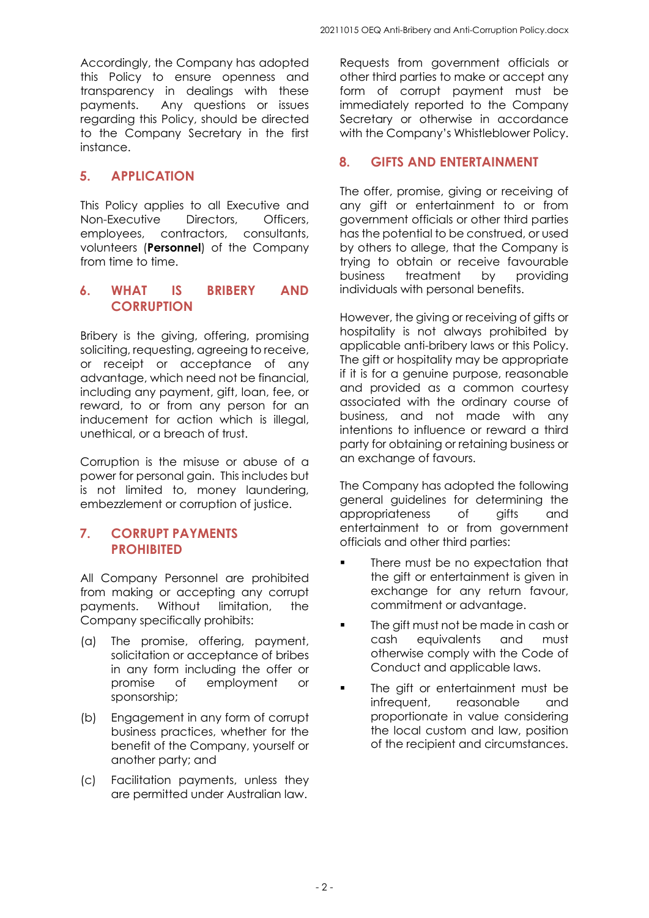Accordingly, the Company has adopted this Policy to ensure openness and transparency in dealings with these payments. Any questions or issues regarding this Policy, should be directed to the Company Secretary in the first instance.

## **5. APPLICATION**

This Policy applies to all Executive and Non-Executive Directors, Officers, employees, contractors, consultants, volunteers (**Personnel**) of the Company from time to time.

## **6. WHAT IS BRIBERY AND CORRUPTION**

Bribery is the giving, offering, promising soliciting, requesting, agreeing to receive, or receipt or acceptance of any advantage, which need not be financial, including any payment, gift, loan, fee, or reward, to or from any person for an inducement for action which is illegal, unethical, or a breach of trust.

Corruption is the misuse or abuse of a power for personal gain. This includes but is not limited to, money laundering, embezzlement or corruption of justice.

#### **7. CORRUPT PAYMENTS PROHIBITED**

All Company Personnel are prohibited from making or accepting any corrupt payments. Without limitation, the Company specifically prohibits:

- (a) The promise, offering, payment, solicitation or acceptance of bribes in any form including the offer or promise of employment or sponsorship;
- (b) Engagement in any form of corrupt business practices, whether for the benefit of the Company, yourself or another party; and
- (c) Facilitation payments, unless they are permitted under Australian law.

Requests from government officials or other third parties to make or accept any form of corrupt payment must be immediately reported to the Company Secretary or otherwise in accordance with the Company's Whistleblower Policy.

## **8. GIFTS AND ENTERTAINMENT**

The offer, promise, giving or receiving of any gift or entertainment to or from government officials or other third parties has the potential to be construed, or used by others to allege, that the Company is trying to obtain or receive favourable business treatment by providing individuals with personal benefits.

However, the giving or receiving of gifts or hospitality is not always prohibited by applicable anti-bribery laws or this Policy. The gift or hospitality may be appropriate if it is for a genuine purpose, reasonable and provided as a common courtesy associated with the ordinary course of business, and not made with any intentions to influence or reward a third party for obtaining or retaining business or an exchange of favours.

The Company has adopted the following general guidelines for determining the appropriateness of gifts and entertainment to or from government officials and other third parties:

- There must be no expectation that the gift or entertainment is given in exchange for any return favour, commitment or advantage.
- **The gift must not be made in cash or** cash equivalents and must otherwise comply with the Code of Conduct and applicable laws.
- The gift or entertainment must be infrequent, reasonable and proportionate in value considering the local custom and law, position of the recipient and circumstances.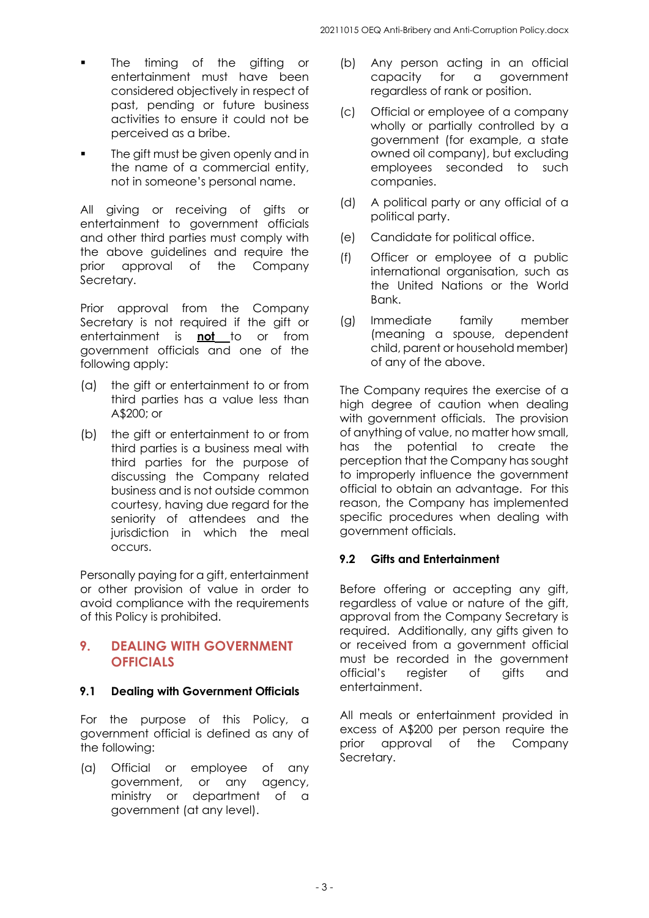- The timing of the gifting or entertainment must have been considered objectively in respect of past, pending or future business activities to ensure it could not be perceived as a bribe.
- The gift must be given openly and in the name of a commercial entity, not in someone's personal name.

All giving or receiving of gifts or entertainment to government officials and other third parties must comply with the above guidelines and require the prior approval of the Company Secretary.

Prior approval from the Company Secretary is not required if the gift or entertainment is **not** to or from government officials and one of the following apply:

- (a) the gift or entertainment to or from third parties has a value less than A\$200; or
- (b) the gift or entertainment to or from third parties is a business meal with third parties for the purpose of discussing the Company related business and is not outside common courtesy, having due regard for the seniority of attendees and the jurisdiction in which the meal occurs.

Personally paying for a gift, entertainment or other provision of value in order to avoid compliance with the requirements of this Policy is prohibited.

#### **9. DEALING WITH GOVERNMENT OFFICIALS**

#### **9.1 Dealing with Government Officials**

For the purpose of this Policy, a government official is defined as any of the following:

(a) Official or employee of any government, or any agency, ministry or department of a government (at any level).

- (b) Any person acting in an official<br>capacity for a government a government regardless of rank or position.
- (c) Official or employee of a company wholly or partially controlled by a government (for example, a state owned oil company), but excluding employees seconded to such companies.
- (d) A political party or any official of a political party.
- (e) Candidate for political office.
- (f) Officer or employee of a public international organisation, such as the United Nations or the World Bank.
- (g) Immediate family member (meaning a spouse, dependent child, parent or household member) of any of the above.

The Company requires the exercise of a high degree of caution when dealing with government officials. The provision of anything of value, no matter how small, has the potential to create the perception that the Company has sought to improperly influence the government official to obtain an advantage. For this reason, the Company has implemented specific procedures when dealing with government officials.

#### **9.2 Gifts and Entertainment**

Before offering or accepting any gift, regardless of value or nature of the gift, approval from the Company Secretary is required. Additionally, any gifts given to or received from a government official must be recorded in the government official's register of gifts and entertainment.

All meals or entertainment provided in excess of A\$200 per person require the prior approval of the Company Secretary.